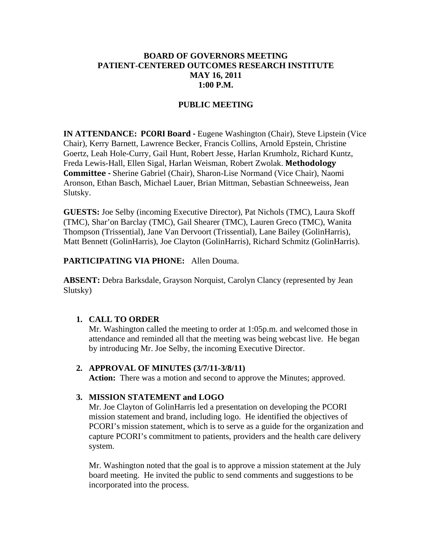## **BOARD OF GOVERNORS MEETING PATIENT-CENTERED OUTCOMES RESEARCH INSTITUTE MAY 16, 2011 1:00 P.M.**

## **PUBLIC MEETING**

**IN ATTENDANCE: PCORI Board -** Eugene Washington (Chair), Steve Lipstein (Vice Chair), Kerry Barnett, Lawrence Becker, Francis Collins, Arnold Epstein, Christine Goertz, Leah Hole-Curry, Gail Hunt, Robert Jesse, Harlan Krumholz, Richard Kuntz, Freda Lewis-Hall, Ellen Sigal, Harlan Weisman, Robert Zwolak. **Methodology Committee -** Sherine Gabriel (Chair), Sharon-Lise Normand (Vice Chair), Naomi Aronson, Ethan Basch, Michael Lauer, Brian Mittman, Sebastian Schneeweiss, Jean Slutsky.

**GUESTS:** Joe Selby (incoming Executive Director), Pat Nichols (TMC), Laura Skoff (TMC), Shar'on Barclay (TMC), Gail Shearer (TMC), Lauren Greco (TMC), Wanita Thompson (Trissential), Jane Van Dervoort (Trissential), Lane Bailey (GolinHarris), Matt Bennett (GolinHarris), Joe Clayton (GolinHarris), Richard Schmitz (GolinHarris).

### **PARTICIPATING VIA PHONE:** Allen Douma.

**ABSENT:** Debra Barksdale, Grayson Norquist, Carolyn Clancy (represented by Jean Slutsky)

### **1. CALL TO ORDER**

Mr. Washington called the meeting to order at 1:05p.m. and welcomed those in attendance and reminded all that the meeting was being webcast live. He began by introducing Mr. Joe Selby, the incoming Executive Director.

### **2. APPROVAL OF MINUTES (3/7/11-3/8/11)**

Action: There was a motion and second to approve the Minutes; approved.

### **3. MISSION STATEMENT and LOGO**

Mr. Joe Clayton of GolinHarris led a presentation on developing the PCORI mission statement and brand, including logo. He identified the objectives of PCORI's mission statement, which is to serve as a guide for the organization and capture PCORI's commitment to patients, providers and the health care delivery system.

Mr. Washington noted that the goal is to approve a mission statement at the July board meeting. He invited the public to send comments and suggestions to be incorporated into the process.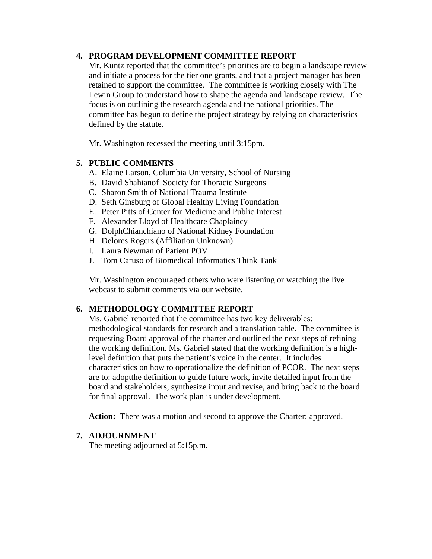## **4. PROGRAM DEVELOPMENT COMMITTEE REPORT**

Mr. Kuntz reported that the committee's priorities are to begin a landscape review and initiate a process for the tier one grants, and that a project manager has been retained to support the committee. The committee is working closely with The Lewin Group to understand how to shape the agenda and landscape review. The focus is on outlining the research agenda and the national priorities. The committee has begun to define the project strategy by relying on characteristics defined by the statute.

Mr. Washington recessed the meeting until 3:15pm.

# **5. PUBLIC COMMENTS**

- A. Elaine Larson, Columbia University, School of Nursing
- B. David Shahianof Society for Thoracic Surgeons
- C. Sharon Smith of National Trauma Institute
- D. Seth Ginsburg of Global Healthy Living Foundation
- E. Peter Pitts of Center for Medicine and Public Interest
- F. Alexander Lloyd of Healthcare Chaplaincy
- G. DolphChianchiano of National Kidney Foundation
- H. Delores Rogers (Affiliation Unknown)
- I. Laura Newman of Patient POV
- J. Tom Caruso of Biomedical Informatics Think Tank

Mr. Washington encouraged others who were listening or watching the live webcast to submit comments via our website.

# **6. METHODOLOGY COMMITTEE REPORT**

Ms. Gabriel reported that the committee has two key deliverables: methodological standards for research and a translation table. The committee is requesting Board approval of the charter and outlined the next steps of refining the working definition. Ms. Gabriel stated that the working definition is a highlevel definition that puts the patient's voice in the center. It includes characteristics on how to operationalize the definition of PCOR. The next steps are to: adoptthe definition to guide future work, invite detailed input from the board and stakeholders, synthesize input and revise, and bring back to the board for final approval. The work plan is under development.

Action: There was a motion and second to approve the Charter; approved.

## **7. ADJOURNMENT**

The meeting adjourned at 5:15p.m.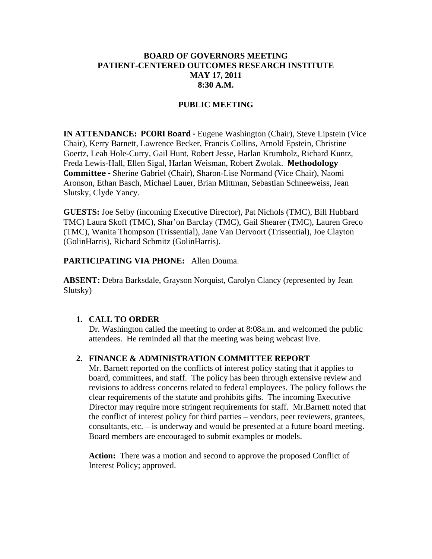## **BOARD OF GOVERNORS MEETING PATIENT-CENTERED OUTCOMES RESEARCH INSTITUTE MAY 17, 2011 8:30 A.M.**

### **PUBLIC MEETING**

**IN ATTENDANCE: PCORI Board -** Eugene Washington (Chair), Steve Lipstein (Vice Chair), Kerry Barnett, Lawrence Becker, Francis Collins, Arnold Epstein, Christine Goertz, Leah Hole-Curry, Gail Hunt, Robert Jesse, Harlan Krumholz, Richard Kuntz, Freda Lewis-Hall, Ellen Sigal, Harlan Weisman, Robert Zwolak. **Methodology Committee -** Sherine Gabriel (Chair), Sharon-Lise Normand (Vice Chair), Naomi Aronson, Ethan Basch, Michael Lauer, Brian Mittman, Sebastian Schneeweiss, Jean Slutsky, Clyde Yancy.

**GUESTS:** Joe Selby (incoming Executive Director), Pat Nichols (TMC), Bill Hubbard TMC) Laura Skoff (TMC), Shar'on Barclay (TMC), Gail Shearer (TMC), Lauren Greco (TMC), Wanita Thompson (Trissential), Jane Van Dervoort (Trissential), Joe Clayton (GolinHarris), Richard Schmitz (GolinHarris).

#### **PARTICIPATING VIA PHONE:** Allen Douma.

**ABSENT:** Debra Barksdale, Grayson Norquist, Carolyn Clancy (represented by Jean Slutsky)

#### **1. CALL TO ORDER**

Dr. Washington called the meeting to order at 8:08a.m. and welcomed the public attendees. He reminded all that the meeting was being webcast live.

### **2. FINANCE & ADMINISTRATION COMMITTEE REPORT**

Mr. Barnett reported on the conflicts of interest policy stating that it applies to board, committees, and staff. The policy has been through extensive review and revisions to address concerns related to federal employees. The policy follows the clear requirements of the statute and prohibits gifts. The incoming Executive Director may require more stringent requirements for staff. Mr.Barnett noted that the conflict of interest policy for third parties – vendors, peer reviewers, grantees, consultants, etc. – is underway and would be presented at a future board meeting. Board members are encouraged to submit examples or models.

Action: There was a motion and second to approve the proposed Conflict of Interest Policy; approved.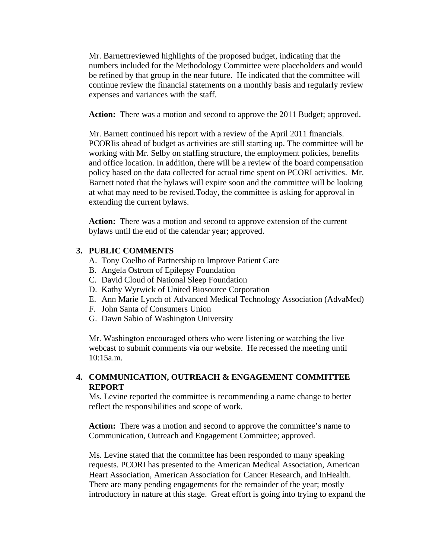Mr. Barnettreviewed highlights of the proposed budget, indicating that the numbers included for the Methodology Committee were placeholders and would be refined by that group in the near future. He indicated that the committee will continue review the financial statements on a monthly basis and regularly review expenses and variances with the staff.

Action: There was a motion and second to approve the 2011 Budget; approved.

Mr. Barnett continued his report with a review of the April 2011 financials. PCORIis ahead of budget as activities are still starting up. The committee will be working with Mr. Selby on staffing structure, the employment policies, benefits and office location. In addition, there will be a review of the board compensation policy based on the data collected for actual time spent on PCORI activities. Mr. Barnett noted that the bylaws will expire soon and the committee will be looking at what may need to be revised.Today, the committee is asking for approval in extending the current bylaws.

**Action:** There was a motion and second to approve extension of the current bylaws until the end of the calendar year; approved.

#### **3. PUBLIC COMMENTS**

- A. Tony Coelho of Partnership to Improve Patient Care
- B. Angela Ostrom of Epilepsy Foundation
- C. David Cloud of National Sleep Foundation
- D. Kathy Wyrwick of United Biosource Corporation
- E. Ann Marie Lynch of Advanced Medical Technology Association (AdvaMed)
- F. John Santa of Consumers Union
- G. Dawn Sabio of Washington University

Mr. Washington encouraged others who were listening or watching the live webcast to submit comments via our website. He recessed the meeting until 10:15a.m.

## **4. COMMUNICATION, OUTREACH & ENGAGEMENT COMMITTEE REPORT**

Ms. Levine reported the committee is recommending a name change to better reflect the responsibilities and scope of work.

Action: There was a motion and second to approve the committee's name to Communication, Outreach and Engagement Committee; approved.

Ms. Levine stated that the committee has been responded to many speaking requests. PCORI has presented to the American Medical Association, American Heart Association, American Association for Cancer Research, and InHealth. There are many pending engagements for the remainder of the year; mostly introductory in nature at this stage. Great effort is going into trying to expand the